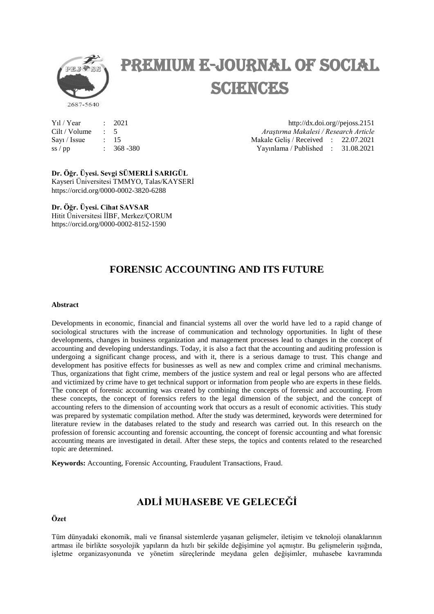

# Premium E-Journal of Social SCIENCES

| $Y_1$ l / Year |               | : 2021    |
|----------------|---------------|-----------|
| Cilt / Volume  | $\mathcal{L}$ | -5        |
| Say1 / Issue   |               | : 15      |
| $ss$ / $pp$    | $\sim$        | 368 - 380 |

http://dx.doi.org//pejoss.2151 Cilt / Volume : 5 *Araştırma Makalesi / Research Article* Makale Geliş / Received : 22.07.2021  $S_1$   $\frac{1}{31.08.2021}$ 

Dr. Öğr. Üyesi. Sevgi SÜMERLİ SARIGÜL Kayseri Üniversitesi TMMYO, Talas/KAYSERİ https://orcid.org/0000-0002-3820-6288

**Dr. Öğr. Üyesi. Cihat SAVSAR** Hitit Üniversitesi İİBF, Merkez/ÇORUM https://orcid.org/0000-0002-8152-1590

## **FORENSIC ACCOUNTING AND ITS FUTURE**

#### **Abstract**

Developments in economic, financial and financial systems all over the world have led to a rapid change of sociological structures with the increase of communication and technology opportunities. In light of these developments, changes in business organization and management processes lead to changes in the concept of accounting and developing understandings. Today, it is also a fact that the accounting and auditing profession is undergoing a significant change process, and with it, there is a serious damage to trust. This change and development has positive effects for businesses as well as new and complex crime and criminal mechanisms. Thus, organizations that fight crime, members of the justice system and real or legal persons who are affected and victimized by crime have to get technical support or information from people who are experts in these fields. The concept of forensic accounting was created by combining the concepts of forensic and accounting. From these concepts, the concept of forensics refers to the legal dimension of the subject, and the concept of accounting refers to the dimension of accounting work that occurs as a result of economic activities. This study was prepared by systematic compilation method. After the study was determined, keywords were determined for literature review in the databases related to the study and research was carried out. In this research on the profession of forensic accounting and forensic accounting, the concept of forensic accounting and what forensic accounting means are investigated in detail. After these steps, the topics and contents related to the researched topic are determined.

**Keywords:** Accounting, Forensic Accounting, Fraudulent Transactions, Fraud.

## **ADLĠ MUHASEBE VE GELECEĞĠ**

#### **Özet**

Tüm dünyadaki ekonomik, mali ve finansal sistemlerde yaşanan gelişmeler, iletişim ve teknoloji olanaklarının artması ile birlikte sosyolojik yapıların da hızlı bir şekilde değişimine yol açmıştır. Bu gelişmelerin ışığında, işletme organizasyonunda ve yönetim süreçlerinde meydana gelen değişimler, muhasebe kavramında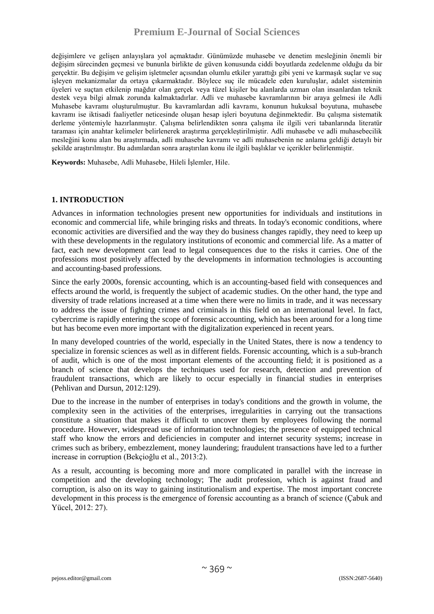değişimlere ve gelişen anlayışlara yol açmaktadır. Günümüzde muhasebe ve denetim mesleğinin önemli bir değişim sürecinden geçmesi ve bununla birlikte de güven konusunda ciddi boyutlarda zedelenme olduğu da bir gerçektir. Bu değişim ve gelişim işletmeler açısından olumlu etkiler yarattığı gibi yeni ve karmaşık suçlar ve suç işleyen mekanizmalar da ortaya çıkarmaktadır. Böylece suç ile mücadele eden kuruluşlar, adalet sisteminin üyeleri ve suçtan etkilenip mağdur olan gerçek veya tüzel kişiler bu alanlarda uzman olan insanlardan teknik destek veya bilgi almak zorunda kalmaktadırlar. Adli ve muhasebe kavramlarının bir araya gelmesi ile Adli Muhasebe kavramı oluşturulmuştur. Bu kavramlardan adli kavramı, konunun hukuksal boyutuna, muhasebe kavramı ise iktisadi faaliyetler neticesinde oluşan hesap işleri boyutuna değinmektedir. Bu çalışma sistematik derleme yöntemiyle hazırlanmıştır. Çalışma belirlendikten sonra çalışma ile ilgili veri tabanlarında literatür taraması için anahtar kelimeler belirlenerek araştırma gerçekleştirilmiştir. Adli muhasebe ve adli muhasebecilik mesleğini konu alan bu araştırmada, adli muhasebe kavramı ve adli muhasebenin ne anlama geldiği detaylı bir şekilde araştırılmıştır. Bu adımlardan sonra araştırılan konu ile ilgili başlıklar ve içerikler belirlenmiştir.

**Keywords:** Muhasebe, Adli Muhasebe, Hileli İşlemler, Hile.

#### **1. INTRODUCTION**

Advances in information technologies present new opportunities for individuals and institutions in economic and commercial life, while bringing risks and threats. In today's economic conditions, where economic activities are diversified and the way they do business changes rapidly, they need to keep up with these developments in the regulatory institutions of economic and commercial life. As a matter of fact, each new development can lead to legal consequences due to the risks it carries. One of the professions most positively affected by the developments in information technologies is accounting and accounting-based professions.

Since the early 2000s, forensic accounting, which is an accounting-based field with consequences and effects around the world, is frequently the subject of academic studies. On the other hand, the type and diversity of trade relations increased at a time when there were no limits in trade, and it was necessary to address the issue of fighting crimes and criminals in this field on an international level. In fact, cybercrime is rapidly entering the scope of forensic accounting, which has been around for a long time but has become even more important with the digitalization experienced in recent years.

In many developed countries of the world, especially in the United States, there is now a tendency to specialize in forensic sciences as well as in different fields. Forensic accounting, which is a sub-branch of audit, which is one of the most important elements of the accounting field; it is positioned as a branch of science that develops the techniques used for research, detection and prevention of fraudulent transactions, which are likely to occur especially in financial studies in enterprises (Pehlivan and Dursun, 2012:129).

Due to the increase in the number of enterprises in today's conditions and the growth in volume, the complexity seen in the activities of the enterprises, irregularities in carrying out the transactions constitute a situation that makes it difficult to uncover them by employees following the normal procedure. However, widespread use of information technologies; the presence of equipped technical staff who know the errors and deficiencies in computer and internet security systems; increase in crimes such as bribery, embezzlement, money laundering; fraudulent transactions have led to a further increase in corruption (Bekçioğlu et al., 2013:2).

As a result, accounting is becoming more and more complicated in parallel with the increase in competition and the developing technology; The audit profession, which is against fraud and corruption, is also on its way to gaining institutionalism and expertise. The most important concrete development in this process is the emergence of forensic accounting as a branch of science (Çabuk and Yücel, 2012: 27).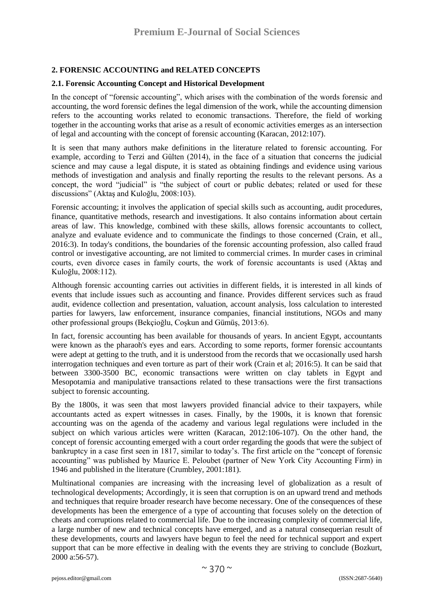### **2. FORENSIC ACCOUNTING and RELATED CONCEPTS**

#### **2.1. Forensic Accounting Concept and Historical Development**

In the concept of "forensic accounting", which arises with the combination of the words forensic and accounting, the word forensic defines the legal dimension of the work, while the accounting dimension refers to the accounting works related to economic transactions. Therefore, the field of working together in the accounting works that arise as a result of economic activities emerges as an intersection of legal and accounting with the concept of forensic accounting (Karacan, 2012:107).

It is seen that many authors make definitions in the literature related to forensic accounting. For example, according to Terzi and Gülten (2014), in the face of a situation that concerns the judicial science and may cause a legal dispute, it is stated as obtaining findings and evidence using various methods of investigation and analysis and finally reporting the results to the relevant persons. As a concept, the word "judicial" is "the subject of court or public debates; related or used for these discussions" (Aktaş and Kuloğlu, 2008:103).

Forensic accounting; it involves the application of special skills such as accounting, audit procedures, finance, quantitative methods, research and investigations. It also contains information about certain areas of law. This knowledge, combined with these skills, allows forensic accountants to collect, analyze and evaluate evidence and to communicate the findings to those concerned (Crain, et all., 2016:3). In today's conditions, the boundaries of the forensic accounting profession, also called fraud control or investigative accounting, are not limited to commercial crimes. In murder cases in criminal courts, even divorce cases in family courts, the work of forensic accountants is used (Aktaş and Kuloğlu, 2008:112).

Although forensic accounting carries out activities in different fields, it is interested in all kinds of events that include issues such as accounting and finance. Provides different services such as fraud audit, evidence collection and presentation, valuation, account analysis, loss calculation to interested parties for lawyers, law enforcement, insurance companies, financial institutions, NGOs and many other professional groups (Bekçioğlu, Coşkun and Gümüş, 2013:6).

In fact, forensic accounting has been available for thousands of years. In ancient Egypt, accountants were known as the pharaoh's eyes and ears. According to some reports, former forensic accountants were adept at getting to the truth, and it is understood from the records that we occasionally used harsh interrogation techniques and even torture as part of their work (Crain et al; 2016:5). It can be said that between 3300-3500 BC, economic transactions were written on clay tablets in Egypt and Mesopotamia and manipulative transactions related to these transactions were the first transactions subject to forensic accounting.

By the 1800s, it was seen that most lawyers provided financial advice to their taxpayers, while accountants acted as expert witnesses in cases. Finally, by the 1900s, it is known that forensic accounting was on the agenda of the academy and various legal regulations were included in the subject on which various articles were written (Karacan, 2012:106-107). On the other hand, the concept of forensic accounting emerged with a court order regarding the goods that were the subject of bankruptcy in a case first seen in 1817, similar to today's. The first article on the "concept of forensic accounting" was published by Maurice E. Peloubet (partner of New York City Accounting Firm) in 1946 and published in the literature (Crumbley, 2001:181).

Multinational companies are increasing with the increasing level of globalization as a result of technological developments; Accordingly, it is seen that corruption is on an upward trend and methods and techniques that require broader research have become necessary. One of the consequences of these developments has been the emergence of a type of accounting that focuses solely on the detection of cheats and corruptions related to commercial life. Due to the increasing complexity of commercial life, a large number of new and technical concepts have emerged, and as a natural consequerian result of these developments, courts and lawyers have begun to feel the need for technical support and expert support that can be more effective in dealing with the events they are striving to conclude (Bozkurt, 2000 a:56-57).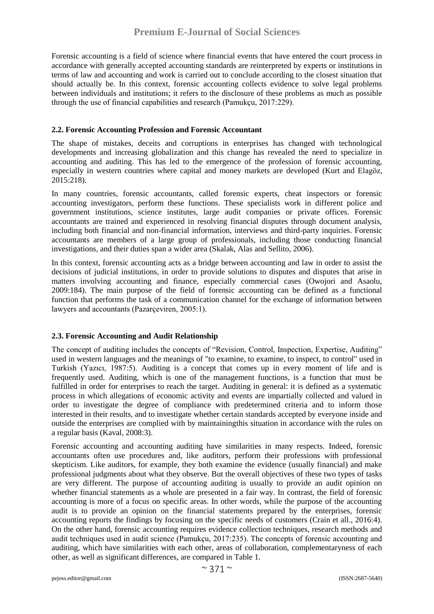Forensic accounting is a field of science where financial events that have entered the court process in accordance with generally accepted accounting standards are reinterpreted by experts or institutions in terms of law and accounting and work is carried out to conclude according to the closest situation that should actually be. In this context, forensic accounting collects evidence to solve legal problems between individuals and institutions; it refers to the disclosure of these problems as much as possible through the use of financial capabilities and research (Pamukçu, 2017:229).

#### **2.2. Forensic Accounting Profession and Forensic Accountant**

The shape of mistakes, deceits and corruptions in enterprises has changed with technological developments and increasing globalization and this change has revealed the need to specialize in accounting and auditing. This has led to the emergence of the profession of forensic accounting, especially in western countries where capital and money markets are developed (Kurt and Elagöz, 2015:218).

In many countries, forensic accountants, called forensic experts, cheat inspectors or forensic accounting investigators, perform these functions. These specialists work in different police and government institutions, science institutes, large audit companies or private offices. Forensic accountants are trained and experienced in resolving financial disputes through document analysis, including both financial and non-financial information, interviews and third-party inquiries. Forensic accountants are members of a large group of professionals, including those conducting financial investigations, and their duties span a wider area (Skalak, Alas and Sellito, 2006).

In this context, forensic accounting acts as a bridge between accounting and law in order to assist the decisions of judicial institutions, in order to provide solutions to disputes and disputes that arise in matters involving accounting and finance, especially commercial cases (Owojori and Asaolu, 2009:184). The main purpose of the field of forensic accounting can be defined as a functional function that performs the task of a communication channel for the exchange of information between lawyers and accountants (Pazarçeviren, 2005:1).

#### **2.3. Forensic Accounting and Audit Relationship**

The concept of auditing includes the concepts of "Revision, Control, Inspection, Expertise, Auditing" used in western languages and the meanings of "to examine, to examine, to inspect, to control" used in Turkish (Yazıcı, 1987:5). Auditing is a concept that comes up in every moment of life and is frequently used. Auditing, which is one of the management functions, is a function that must be fulfilled in order for enterprises to reach the target. Auditing in general: it is defined as a systematic process in which allegations of economic activity and events are impartially collected and valued in order to investigate the degree of compliance with predetermined criteria and to inform those interested in their results, and to investigate whether certain standards accepted by everyone inside and outside the enterprises are complied with by maintainingthis situation in accordance with the rules on a regular basis (Kaval, 2008:3).

Forensic accounting and accounting auditing have similarities in many respects. Indeed, forensic accountants often use procedures and, like auditors, perform their professions with professional skepticism. Like auditors, for example, they both examine the evidence (usually financial) and make professional judgments about what they observe. But the overall objectives of these two types of tasks are very different. The purpose of accounting auditing is usually to provide an audit opinion on whether financial statements as a whole are presented in a fair way. In contrast, the field of forensic accounting is more of a focus on specific areas. In other words, while the purpose of the accounting audit is to provide an opinion on the financial statements prepared by the enterprises, forensic accounting reports the findings by focusing on the specific needs of customers (Crain et all., 2016:4). On the other hand, forensic accounting requires evidence collection techniques, research methods and audit techniques used in audit science (Pamukçu, 2017:235). The concepts of forensic accounting and auditing, which have similarities with each other, areas of collaboration, complementaryness of each other, as well as significant differences, are compared in Table 1.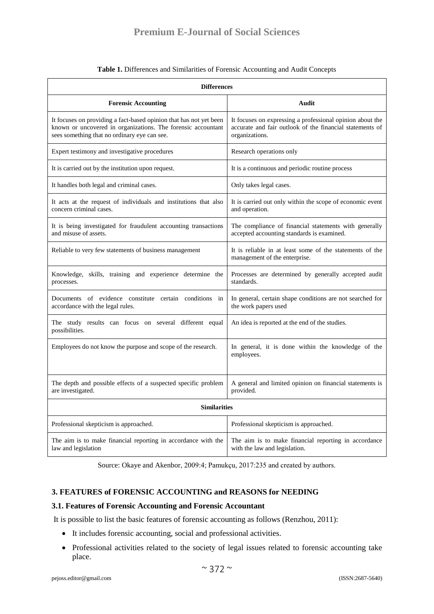| <b>Differences</b>                                                                                                                                                                 |                                                                                                                                         |  |
|------------------------------------------------------------------------------------------------------------------------------------------------------------------------------------|-----------------------------------------------------------------------------------------------------------------------------------------|--|
| <b>Forensic Accounting</b>                                                                                                                                                         | Audit                                                                                                                                   |  |
| It focuses on providing a fact-based opinion that has not yet been<br>known or uncovered in organizations. The forensic accountant<br>sees something that no ordinary eye can see. | It focuses on expressing a professional opinion about the<br>accurate and fair outlook of the financial statements of<br>organizations. |  |
| Expert testimony and investigative procedures                                                                                                                                      | Research operations only                                                                                                                |  |
| It is carried out by the institution upon request.                                                                                                                                 | It is a continuous and periodic routine process                                                                                         |  |
| It handles both legal and criminal cases.                                                                                                                                          | Only takes legal cases.                                                                                                                 |  |
| It acts at the request of individuals and institutions that also<br>concern criminal cases.                                                                                        | It is carried out only within the scope of economic event<br>and operation.                                                             |  |
| It is being investigated for fraudulent accounting transactions<br>and misuse of assets.                                                                                           | The compliance of financial statements with generally<br>accepted accounting standards is examined.                                     |  |
| Reliable to very few statements of business management                                                                                                                             | It is reliable in at least some of the statements of the<br>management of the enterprise.                                               |  |
| Knowledge, skills, training and experience determine the<br>processes.                                                                                                             | Processes are determined by generally accepted audit<br>standards.                                                                      |  |
| Documents of evidence constitute certain conditions in<br>accordance with the legal rules.                                                                                         | In general, certain shape conditions are not searched for<br>the work papers used                                                       |  |
| The study results can focus on several different equal<br>possibilities.                                                                                                           | An idea is reported at the end of the studies.                                                                                          |  |
| Employees do not know the purpose and scope of the research.                                                                                                                       | In general, it is done within the knowledge of the<br>employees.                                                                        |  |
| The depth and possible effects of a suspected specific problem<br>are investigated.                                                                                                | A general and limited opinion on financial statements is<br>provided.                                                                   |  |
| <b>Similarities</b>                                                                                                                                                                |                                                                                                                                         |  |
| Professional skepticism is approached.                                                                                                                                             | Professional skepticism is approached.                                                                                                  |  |
| The aim is to make financial reporting in accordance with the<br>law and legislation                                                                                               | The aim is to make financial reporting in accordance<br>with the law and legislation.                                                   |  |

#### **Table 1.** Differences and Similarities of Forensic Accounting and Audit Concepts

Source: Okaye and Akenbor, 2009:4; Pamukçu, 2017:235 and created by authors.

#### **3. FEATURES of FORENSIC ACCOUNTING and REASONS for NEEDING**

#### **3.1. Features of Forensic Accounting and Forensic Accountant**

It is possible to list the basic features of forensic accounting as follows (Renzhou, 2011):

- It includes forensic accounting, social and professional activities.
- Professional activities related to the society of legal issues related to forensic accounting take place.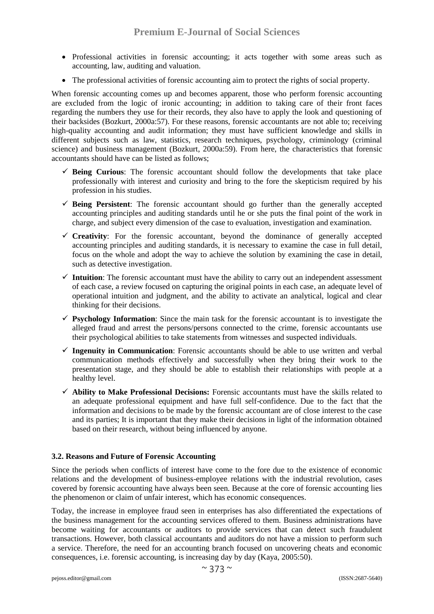- Professional activities in forensic accounting; it acts together with some areas such as accounting, law, auditing and valuation.
- The professional activities of forensic accounting aim to protect the rights of social property.

When forensic accounting comes up and becomes apparent, those who perform forensic accounting are excluded from the logic of ironic accounting; in addition to taking care of their front faces regarding the numbers they use for their records, they also have to apply the look and questioning of their backsides (Bozkurt, 2000a:57). For these reasons, forensic accountants are not able to; receiving high-quality accounting and audit information; they must have sufficient knowledge and skills in different subjects such as law, statistics, research techniques, psychology, criminology (criminal science) and business management (Bozkurt, 2000a:59). From here, the characteristics that forensic accountants should have can be listed as follows;

- $\checkmark$  **Being Curious**: The forensic accountant should follow the developments that take place professionally with interest and curiosity and bring to the fore the skepticism required by his profession in his studies.
- $\checkmark$  **Being Persistent**: The forensic accountant should go further than the generally accepted accounting principles and auditing standards until he or she puts the final point of the work in charge, and subject every dimension of the case to evaluation, investigation and examination.
- $\checkmark$  Creativity: For the forensic accountant, beyond the dominance of generally accepted accounting principles and auditing standards, it is necessary to examine the case in full detail, focus on the whole and adopt the way to achieve the solution by examining the case in detail, such as detective investigation.
- $\checkmark$  Intuition: The forensic accountant must have the ability to carry out an independent assessment of each case, a review focused on capturing the original points in each case, an adequate level of operational intuition and judgment, and the ability to activate an analytical, logical and clear thinking for their decisions.
- **Psychology Information**: Since the main task for the forensic accountant is to investigate the alleged fraud and arrest the persons/persons connected to the crime, forensic accountants use their psychological abilities to take statements from witnesses and suspected individuals.
- **Ingenuity in Communication**: Forensic accountants should be able to use written and verbal communication methods effectively and successfully when they bring their work to the presentation stage, and they should be able to establish their relationships with people at a healthy level.
- **Ability to Make Professional Decisions:** Forensic accountants must have the skills related to an adequate professional equipment and have full self-confidence. Due to the fact that the information and decisions to be made by the forensic accountant are of close interest to the case and its parties; It is important that they make their decisions in light of the information obtained based on their research, without being influenced by anyone.

#### **3.2. Reasons and Future of Forensic Accounting**

Since the periods when conflicts of interest have come to the fore due to the existence of economic relations and the development of business-employee relations with the industrial revolution, cases covered by forensic accounting have always been seen. Because at the core of forensic accounting lies the phenomenon or claim of unfair interest, which has economic consequences.

Today, the increase in employee fraud seen in enterprises has also differentiated the expectations of the business management for the accounting services offered to them. Business administrations have become waiting for accountants or auditors to provide services that can detect such fraudulent transactions. However, both classical accountants and auditors do not have a mission to perform such a service. Therefore, the need for an accounting branch focused on uncovering cheats and economic consequences, i.e. forensic accounting, is increasing day by day (Kaya, 2005:50).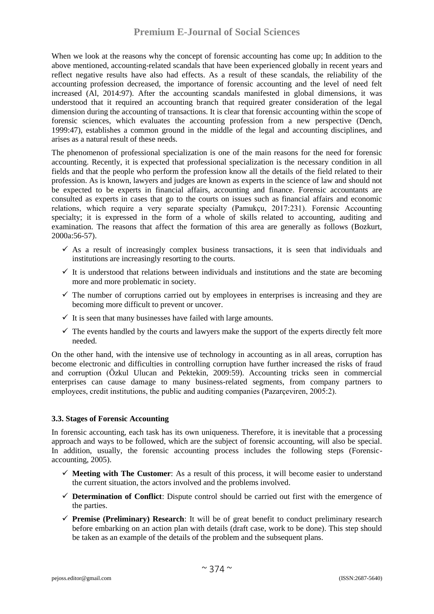## **Premium E-Journal of Social Sciences**

When we look at the reasons why the concept of forensic accounting has come up; In addition to the above mentioned, accounting-related scandals that have been experienced globally in recent years and reflect negative results have also had effects. As a result of these scandals, the reliability of the accounting profession decreased, the importance of forensic accounting and the level of need felt increased (Al, 2014:97). After the accounting scandals manifested in global dimensions, it was understood that it required an accounting branch that required greater consideration of the legal dimension during the accounting of transactions. It is clear that forensic accounting within the scope of forensic sciences, which evaluates the accounting profession from a new perspective (Dench, 1999:47), establishes a common ground in the middle of the legal and accounting disciplines, and arises as a natural result of these needs.

The phenomenon of professional specialization is one of the main reasons for the need for forensic accounting. Recently, it is expected that professional specialization is the necessary condition in all fields and that the people who perform the profession know all the details of the field related to their profession. As is known, lawyers and judges are known as experts in the science of law and should not be expected to be experts in financial affairs, accounting and finance. Forensic accountants are consulted as experts in cases that go to the courts on issues such as financial affairs and economic relations, which require a very separate specialty (Pamukçu, 2017:231). Forensic Accounting specialty; it is expressed in the form of a whole of skills related to accounting, auditing and examination. The reasons that affect the formation of this area are generally as follows (Bozkurt, 2000a:56-57).

- $\checkmark$  As a result of increasingly complex business transactions, it is seen that individuals and institutions are increasingly resorting to the courts.
- $\checkmark$  It is understood that relations between individuals and institutions and the state are becoming more and more problematic in society.
- $\checkmark$  The number of corruptions carried out by employees in enterprises is increasing and they are becoming more difficult to prevent or uncover.
- $\checkmark$  It is seen that many businesses have failed with large amounts.
- $\checkmark$  The events handled by the courts and lawyers make the support of the experts directly felt more needed.

On the other hand, with the intensive use of technology in accounting as in all areas, corruption has become electronic and difficulties in controlling corruption have further increased the risks of fraud and corruption (Özkul Ulucan and Pektekin, 2009:59). Accounting tricks seen in commercial enterprises can cause damage to many business-related segments, from company partners to employees, credit institutions, the public and auditing companies (Pazarçeviren, 2005:2).

#### **3.3. Stages of Forensic Accounting**

In forensic accounting, each task has its own uniqueness. Therefore, it is inevitable that a processing approach and ways to be followed, which are the subject of forensic accounting, will also be special. In addition, usually, the forensic accounting process includes the following steps (Forensicaccounting, 2005).

- $\checkmark$  Meeting with The Customer: As a result of this process, it will become easier to understand the current situation, the actors involved and the problems involved.
- **Determination of Conflict**: Dispute control should be carried out first with the emergence of the parties.
- **Premise (Preliminary) Research**: It will be of great benefit to conduct preliminary research before embarking on an action plan with details (draft case, work to be done). This step should be taken as an example of the details of the problem and the subsequent plans.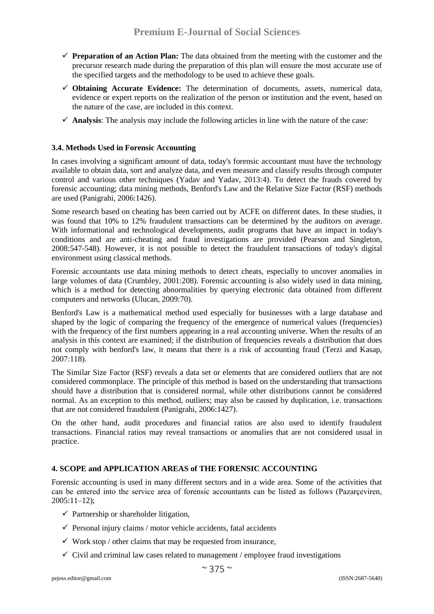- **Preparation of an Action Plan:** The data obtained from the meeting with the customer and the precursor research made during the preparation of this plan will ensure the most accurate use of the specified targets and the methodology to be used to achieve these goals.
- **Obtaining Accurate Evidence:** The determination of documents, assets, numerical data, evidence or expert reports on the realization of the person or institution and the event, based on the nature of the case, are included in this context.
- $\checkmark$  **Analysis**: The analysis may include the following articles in line with the nature of the case:

#### **3.4. Methods Used in Forensic Accounting**

In cases involving a significant amount of data, today's forensic accountant must have the technology available to obtain data, sort and analyze data, and even measure and classify results through computer control and various other techniques (Yadav and Yadav, 2013:4). To detect the frauds covered by forensic accounting; data mining methods, Benford's Law and the Relative Size Factor (RSF) methods are used (Panigrahi, 2006:1426).

Some research based on cheating has been carried out by ACFE on different dates. In these studies, it was found that 10% to 12% fraudulent transactions can be determined by the auditors on average. With informational and technological developments, audit programs that have an impact in today's conditions and are anti-cheating and fraud investigations are provided (Pearson and Singleton, 2008:547-548). However, it is not possible to detect the fraudulent transactions of today's digital environment using classical methods.

Forensic accountants use data mining methods to detect cheats, especially to uncover anomalies in large volumes of data (Crumbley, 2001:208). Forensic accounting is also widely used in data mining, which is a method for detecting abnormalities by querying electronic data obtained from different computers and networks (Ulucan, 2009:70).

Benford's Law is a mathematical method used especially for businesses with a large database and shaped by the logic of comparing the frequency of the emergence of numerical values (frequencies) with the frequency of the first numbers appearing in a real accounting universe. When the results of an analysis in this context are examined; if the distribution of frequencies reveals a distribution that does not comply with benford's law, it means that there is a risk of accounting fraud (Terzi and Kasap, 2007:118).

The Similar Size Factor (RSF) reveals a data set or elements that are considered outliers that are not considered commonplace. The principle of this method is based on the understanding that transactions should have a distribution that is considered normal, while other distributions cannot be considered normal. As an exception to this method, outliers; may also be caused by duplication, i.e. transactions that are not considered fraudulent (Panigrahi, 2006:1427).

On the other hand, audit procedures and financial ratios are also used to identify fraudulent transactions. Financial ratios may reveal transactions or anomalies that are not considered usual in practice.

#### **4. SCOPE and APPLICATION AREAS of THE FORENSIC ACCOUNTING**

Forensic accounting is used in many different sectors and in a wide area. Some of the activities that can be entered into the service area of forensic accountants can be listed as follows (Pazarçeviren, 2005:11–12);

- $\checkmark$  Partnership or shareholder litigation,
- $\checkmark$  Personal injury claims / motor vehicle accidents, fatal accidents
- $\checkmark$  Work stop / other claims that may be requested from insurance,
- $\checkmark$  Civil and criminal law cases related to management / employee fraud investigations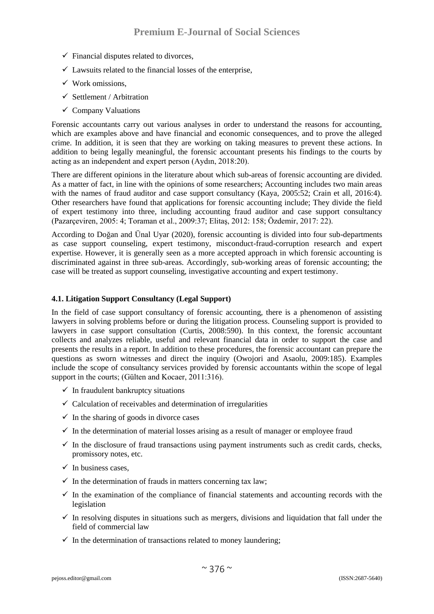- $\checkmark$  Financial disputes related to divorces,
- $\checkmark$  Lawsuits related to the financial losses of the enterprise,
- $\checkmark$  Work omissions.
- $\checkmark$  Settlement / Arbitration
- $\checkmark$  Company Valuations

Forensic accountants carry out various analyses in order to understand the reasons for accounting, which are examples above and have financial and economic consequences, and to prove the alleged crime. In addition, it is seen that they are working on taking measures to prevent these actions. In addition to being legally meaningful, the forensic accountant presents his findings to the courts by acting as an independent and expert person (Aydın, 2018:20).

There are different opinions in the literature about which sub-areas of forensic accounting are divided. As a matter of fact, in line with the opinions of some researchers; Accounting includes two main areas with the names of fraud auditor and case support consultancy (Kaya, 2005:52; Crain et all, 2016:4). Other researchers have found that applications for forensic accounting include; They divide the field of expert testimony into three, including accounting fraud auditor and case support consultancy (Pazarçeviren, 2005: 4; Toraman et al., 2009:37; Elitaş, 2012: 158; Özdemir, 2017: 22).

According to Doğan and Ünal Uyar (2020), forensic accounting is divided into four sub-departments as case support counseling, expert testimony, misconduct-fraud-corruption research and expert expertise. However, it is generally seen as a more accepted approach in which forensic accounting is discriminated against in three sub-areas. Accordingly, sub-working areas of forensic accounting; the case will be treated as support counseling, investigative accounting and expert testimony.

#### **4.1. Litigation Support Consultancy (Legal Support)**

In the field of case support consultancy of forensic accounting, there is a phenomenon of assisting lawyers in solving problems before or during the litigation process. Counseling support is provided to lawyers in case support consultation (Curtis, 2008:590). In this context, the forensic accountant collects and analyzes reliable, useful and relevant financial data in order to support the case and presents the results in a report. In addition to these procedures, the forensic accountant can prepare the questions as sworn witnesses and direct the inquiry (Owojori and Asaolu, 2009:185). Examples include the scope of consultancy services provided by forensic accountants within the scope of legal support in the courts; (Gülten and Kocaer, 2011:316).

- $\checkmark$  In fraudulent bankruptcy situations
- $\checkmark$  Calculation of receivables and determination of irregularities
- $\checkmark$  In the sharing of goods in divorce cases
- $\checkmark$  In the determination of material losses arising as a result of manager or employee fraud
- $\checkmark$  In the disclosure of fraud transactions using payment instruments such as credit cards, checks, promissory notes, etc.
- $\checkmark$  In business cases.
- $\checkmark$  In the determination of frauds in matters concerning tax law;
- $\checkmark$  In the examination of the compliance of financial statements and accounting records with the legislation
- $\checkmark$  In resolving disputes in situations such as mergers, divisions and liquidation that fall under the field of commercial law
- $\checkmark$  In the determination of transactions related to money laundering;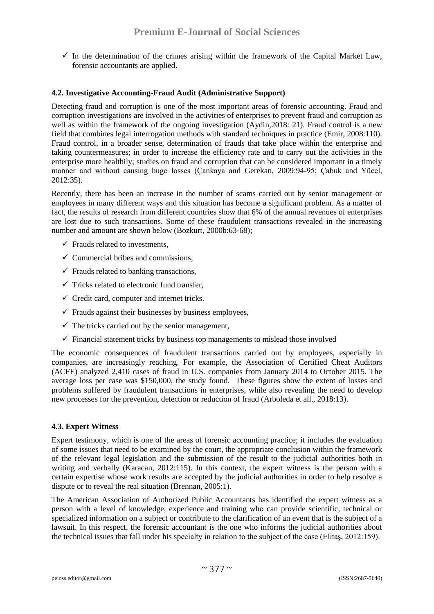$\checkmark$  In the determination of the crimes arising within the framework of the Capital Market Law, forensic accountants are applied.

#### **4.2. Investigative Accounting-Fraud Audit (Administrative Support)**

Detecting fraud and corruption is one of the most important areas of forensic accounting. Fraud and corruption investigations are involved in the activities of enterprises to prevent fraud and corruption as well as within the framework of the ongoing investigation (Aydin, 2018: 21). Fraud control is a new field that combines legal interrogation methods with standard techniques in practice (Emir, 2008:110). Fraud control, in a broader sense, determination of frauds that take place within the enterprise and taking countermeasures; in order to increase the efficiency rate and to carry out the activities in the enterprise more healthily; studies on fraud and corruption that can be considered important in a timely manner and without causing huge losses (Çankaya and Gerekan, 2009:94-95; Çabuk and Yücel, 2012:35).

Recently, there has been an increase in the number of scams carried out by senior management or employees in many different ways and this situation has become a significant problem. As a matter of fact, the results of research from different countries show that 6% of the annual revenues of enterprises are lost due to such transactions. Some of these fraudulent transactions revealed in the increasing number and amount are shown below (Bozkurt, 2000b:63-68);

- $\checkmark$  Frauds related to investments.
- $\checkmark$  Commercial bribes and commissions,
- $\checkmark$  Frauds related to banking transactions.
- $\checkmark$  Tricks related to electronic fund transfer,
- $\checkmark$  Credit card, computer and internet tricks.
- $\checkmark$  Frauds against their businesses by business employees,
- $\checkmark$  The tricks carried out by the senior management,
- $\checkmark$  Financial statement tricks by business top managements to mislead those involved

The economic consequences of fraudulent transactions carried out by employees, especially in companies, are increasingly reaching. For example, the Association of Certified Cheat Auditors (ACFE) analyzed 2,410 cases of fraud in U.S. companies from January 2014 to October 2015. The average loss per case was \$150,000, the study found. These figures show the extent of losses and problems suffered by fraudulent transactions in enterprises, while also revealing the need to develop new processes for the prevention, detection or reduction of fraud (Arboleda et all., 2018:13).

#### **4.3. Expert Witness**

Expert testimony, which is one of the areas of forensic accounting practice; it includes the evaluation of some issues that need to be examined by the court, the appropriate conclusion within the framework of the relevant legal legislation and the submission of the result to the judicial authorities both in writing and verbally (Karacan, 2012:115). In this context, the expert witness is the person with a certain expertise whose work results are accepted by the judicial authorities in order to help resolve a dispute or to reveal the real situation (Brennan, 2005:1).

The American Association of Authorized Public Accountants has identified the expert witness as a person with a level of knowledge, experience and training who can provide scientific, technical or specialized information on a subject or contribute to the clarification of an event that is the subject of a lawsuit. In this respect, the forensic accountant is the one who informs the judicial authorities about the technical issues that fall under his specialty in relation to the subject of the case (Elitaş, 2012:159).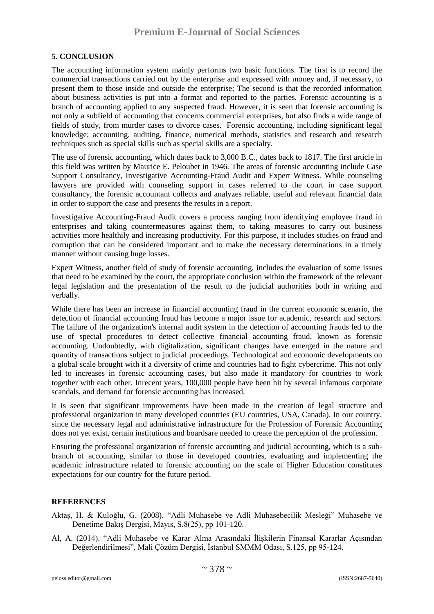#### **5. CONCLUSION**

The accounting information system mainly performs two basic functions. The first is to record the commercial transactions carried out by the enterprise and expressed with money and, if necessary, to present them to those inside and outside the enterprise; The second is that the recorded information about business activities is put into a format and reported to the parties. Forensic accounting is a branch of accounting applied to any suspected fraud. However, it is seen that forensic accounting is not only a subfield of accounting that concerns commercial enterprises, but also finds a wide range of fields of study, from murder cases to divorce cases. Forensic accounting, including significant legal knowledge; accounting, auditing, finance, numerical methods, statistics and research and research techniques such as special skills such as special skills are a specialty.

The use of forensic accounting, which dates back to 3,000 B.C., dates back to 1817. The first article in this field was written by Maurice E. Peloubet in 1946. The areas of forensic accounting include Case Support Consultancy, Investigative Accounting-Fraud Audit and Expert Witness. While counseling lawyers are provided with counseling support in cases referred to the court in case support consultancy, the forensic accountant collects and analyzes reliable, useful and relevant financial data in order to support the case and presents the results in a report.

Investigative Accounting-Fraud Audit covers a process ranging from identifying employee fraud in enterprises and taking countermeasures against them, to taking measures to carry out business activities more healthily and increasing productivity. For this purpose, it includes studies on fraud and corruption that can be considered important and to make the necessary determinations in a timely manner without causing huge losses.

Expert Witness, another field of study of forensic accounting, includes the evaluation of some issues that need to be examined by the court, the appropriate conclusion within the framework of the relevant legal legislation and the presentation of the result to the judicial authorities both in writing and verbally.

While there has been an increase in financial accounting fraud in the current economic scenario, the detection of financial accounting fraud has become a major issue for academic, research and sectors. The failure of the organization's internal audit system in the detection of accounting frauds led to the use of special procedures to detect collective financial accounting fraud, known as forensic accounting. Undoubtedly, with digitalization, significant changes have emerged in the nature and quantity of transactions subject to judicial proceedings. Technological and economic developments on a global scale brought with it a diversity of crime and countries had to fight cybercrime. This not only led to increases in forensic accounting cases, but also made it mandatory for countries to work together with each other. Inrecent years, 100,000 people have been hit by several infamous corporate scandals, and demand for forensic accounting has increased.

It is seen that significant improvements have been made in the creation of legal structure and professional organization in many developed countries (EU countries, USA, Canada). In our country, since the necessary legal and administrative infrastructure for the Profession of Forensic Accounting does not yet exist, certain institutions and boardsare needed to create the perception of the profession.

Ensuring the professional organization of forensic accounting and judicial accounting, which is a subbranch of accounting, similar to those in developed countries, evaluating and implementing the academic infrastructure related to forensic accounting on the scale of Higher Education constitutes expectations for our country for the future period.

#### **REFERENCES**

- Aktaş, H. & Kuloğlu, G. (2008). "Adli Muhasebe ve Adli Muhasebecilik Mesleği" Muhasebe ve Denetime Bakış Dergisi, Mayıs, S.8(25), pp 101-120.
- Al, A. (2014). "Adli Muhasebe ve Karar Alma Arasındaki İlişkilerin Finansal Kararlar Açısından Değerlendirilmesi", Mali Çözüm Dergisi, İstanbul SMMM Odası, S.125, pp 95-124.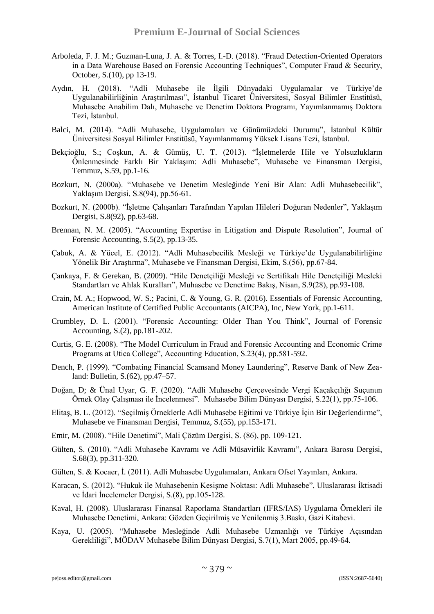- Arboleda, F. J. M.; Guzman-Luna, J. A. & Torres, I.-D. (2018). "Fraud Detection-Oriented Operators in a Data Warehouse Based on Forensic Accounting Techniques", Computer Fraud & Security, October, S.(10), pp 13-19.
- Aydın, H. (2018). "Adli Muhasebe ile İlgili Dünyadaki Uygulamalar ve Türkiye'de Uygulanabilirliğinin Araştırılması", İstanbul Ticaret Üniversitesi, Sosyal Bilimler Enstitüsü, Muhasebe Anabilim Dalı, Muhasebe ve Denetim Doktora Programı, Yayımlanmamış Doktora Tezi, İstanbul.
- Balci, M. (2014). "Adli Muhasebe, Uygulamaları ve Günümüzdeki Durumu", İstanbul Kültür Üniversitesi Sosyal Bilimler Enstitüsü, Yayımlanmamış Yüksek Lisans Tezi, İstanbul.
- Bekçioğlu, S.; Coşkun, A. & Gümüş, U. T. (2013). "İşletmelerde Hile ve Yolsuzlukların Önlenmesinde Farklı Bir Yaklaşım: Adli Muhasebe", Muhasebe ve Finansman Dergisi, Temmuz, S.59, pp.1-16.
- Bozkurt, N. (2000a). "Muhasebe ve Denetim Mesleğinde Yeni Bir Alan: Adli Muhasebecilik", Yaklaşım Dergisi, S.8(94), pp.56-61.
- Bozkurt, N. (2000b). "İşletme Çalışanları Tarafından Yapılan Hileleri Doğuran Nedenler", Yaklaşım Dergisi, S.8(92), pp.63-68.
- Brennan, N. M. (2005). "Accounting Expertise in Litigation and Dispute Resolution", Journal of Forensic Accounting, S.5(2), pp.13-35.
- Çabuk, A. & Yücel, E. (2012). "Adli Muhasebecilik Mesleği ve Türkiye'de Uygulanabilirliğine Yönelik Bir Araştırma", Muhasebe ve Finansman Dergisi, Ekim, S.(56), pp.67-84.
- Çankaya, F. & Gerekan, B. (2009). "Hile Denetçiliği Mesleği ve Sertifikalı Hile Denetçiliği Mesleki Standartları ve Ahlak Kuralları", Muhasebe ve Denetime Bakış, Nisan, S.9(28), pp.93-108.
- Crain, M. A.; Hopwood, W. S.; Pacini, C. & Young, G. R. (2016). Essentials of Forensic Accounting, American Institute of Certified Public Accountants (AICPA), Inc, New York, pp.1-611.
- Crumbley, D. L. (2001). "Forensic Accounting: Older Than You Think", Journal of Forensic Accounting, S.(2), pp.181-202.
- Curtis, G. E. (2008). "The Model Curriculum in Fraud and Forensic Accounting and Economic Crime Programs at Utica College", Accounting Education, S.23(4), pp.581-592.
- Dench, P. (1999). "Combating Financial Scamsand Money Laundering", Reserve Bank of New Zealand: Bulletin, S.(62), pp.47–57.
- Doğan, D; & Ünal Uyar, G. F. (2020). "Adli Muhasebe Çerçevesinde Vergi Kaçakçılığı Suçunun Örnek Olay Çalışması ile İncelenmesi". Muhasebe Bilim Dünyası Dergisi, S.22(1), pp.75-106.
- Elitaş, B. L. (2012). "Seçilmiş Örneklerle Adli Muhasebe Eğitimi ve Türkiye İçin Bir Değerlendirme", Muhasebe ve Finansman Dergisi, Temmuz, S.(55), pp.153-171.
- Emir, M. (2008). "Hile Denetimi", Mali Çözüm Dergisi, S. (86), pp. 109-121.
- Gülten, S. (2010). "Adli Muhasebe Kavramı ve Adli Müsavirlik Kavramı", Ankara Barosu Dergisi, S.68(3), pp.311-320.
- Gülten, S. & Kocaer, İ. (2011). Adli Muhasebe Uygulamaları, Ankara Ofset Yayınları, Ankara.
- Karacan, S. (2012). "Hukuk ile Muhasebenin Kesişme Noktası: Adli Muhasebe", Uluslararası İktisadi ve İdari İncelemeler Dergisi, S.(8), pp.105-128.
- Kaval, H. (2008). Uluslararası Finansal Raporlama Standartları (IFRS/IAS) Uygulama Örnekleri ile Muhasebe Denetimi, Ankara: Gözden Geçirilmiş ve Yenilenmiş 3.Baskı, Gazi Kitabevi.
- Kaya, U. (2005). "Muhasebe Mesleğinde Adli Muhasebe Uzmanlığı ve Türkiye Açısından Gerekliliği", MÖDAV Muhasebe Bilim Dünyası Dergisi, S.7(1), Mart 2005, pp.49-64.